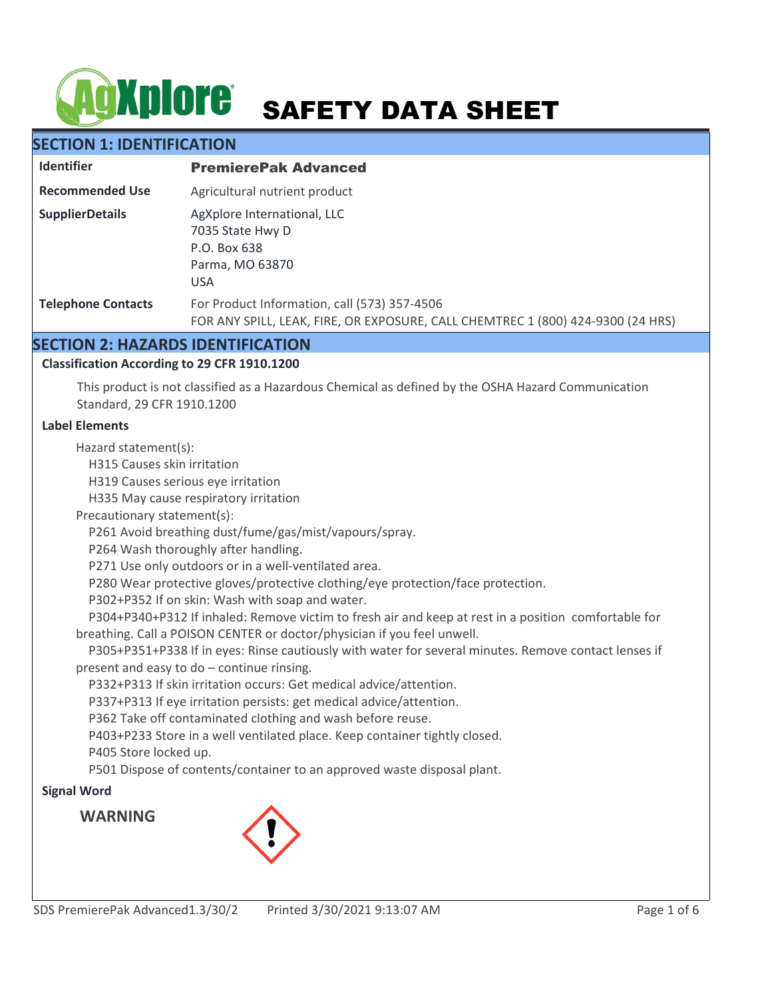# **AgXplore** SAFETY DATA SHEET

# **SECTION 1: IDENTIFICATION**

| <b>Identifier</b>         | <b>PremierePak Advanced</b>                                                                                                     |
|---------------------------|---------------------------------------------------------------------------------------------------------------------------------|
| <b>Recommended Use</b>    | Agricultural nutrient product                                                                                                   |
| <b>SupplierDetails</b>    | AgXplore International, LLC<br>7035 State Hwy D<br>P.O. Box 638<br>Parma, MO 63870<br><b>USA</b>                                |
| <b>Telephone Contacts</b> | For Product Information, call (573) 357-4506<br>FOR ANY SPILL, LEAK, FIRE, OR EXPOSURE, CALL CHEMTREC 1 (800) 424-9300 (24 HRS) |

# **SECTION 2: HAZARDS IDENTIFICATION**

# **Classification According to 29 CFR 1910.1200**

This product is not classified as a Hazardous Chemical as defined by the OSHA Hazard Communication Standard, 29 CFR 1910.1200

## **Label Elements**

Hazard statement(s):

H315 Causes skin irritation

H319 Causes serious eye irritation

H335 May cause respiratory irritation

Precautionary statement(s):

P261 Avoid breathing dust/fume/gas/mist/vapours/spray.

P264 Wash thoroughly after handling.

P271 Use only outdoors or in a well-ventilated area.

P280 Wear protective gloves/protective clothing/eye protection/face protection.

P302+P352 If on skin: Wash with soap and water.

 P304+P340+P312 If inhaled: Remove victim to fresh air and keep at rest in a position comfortable for breathing. Call a POISON CENTER or doctor/physician if you feel unwell.

 P305+P351+P338 If in eyes: Rinse cautiously with water for several minutes. Remove contact lenses if present and easy to do – continue rinsing.

P332+P313 If skin irritation occurs: Get medical advice/attention.

P337+P313 If eye irritation persists: get medical advice/attention.

P362 Take off contaminated clothing and wash before reuse.

P403+P233 Store in a well ventilated place. Keep container tightly closed.

P405 Store locked up.

P501 Dispose of contents/container to an approved waste disposal plant.

# **Signal Word**

**WARNING**

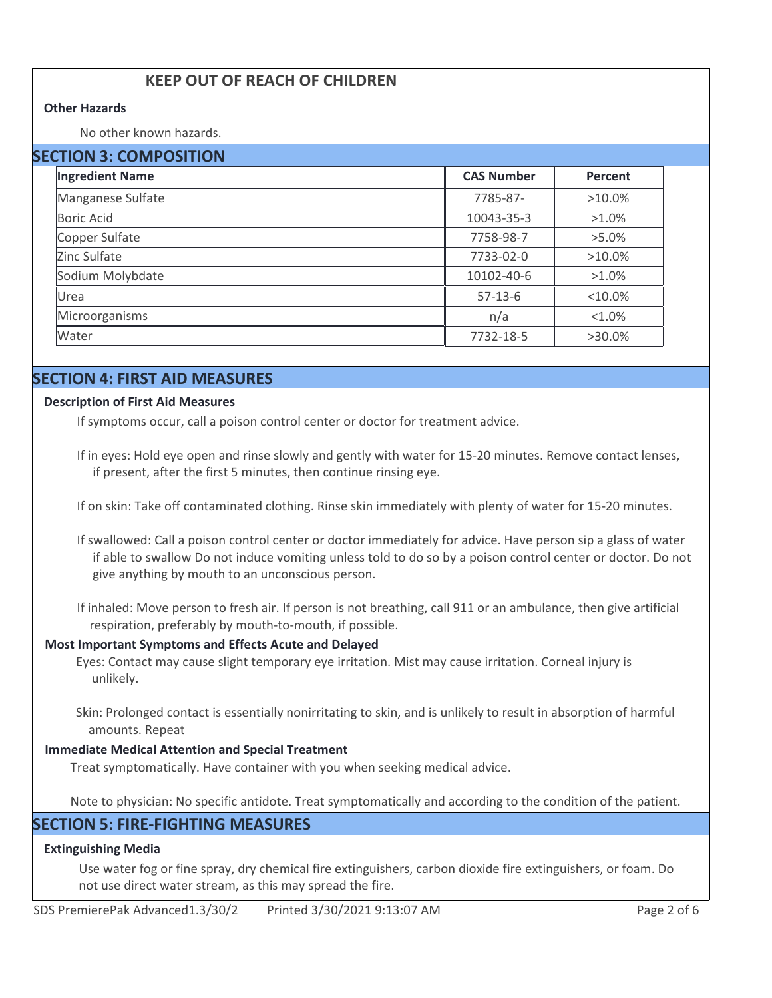# **KEEP OUT OF REACH OF CHILDREN**

#### **Other Hazards**

No other known hazards.

| <b>SECTION 3: COMPOSITION</b> |                   |            |  |
|-------------------------------|-------------------|------------|--|
| <b>Ingredient Name</b>        | <b>CAS Number</b> | Percent    |  |
| Manganese Sulfate             | 7785-87-          | $>10.0\%$  |  |
| <b>Boric Acid</b>             | 10043-35-3        | $>1.0\%$   |  |
| Copper Sulfate                | 7758-98-7         | $>5.0\%$   |  |
| Zinc Sulfate                  | 7733-02-0         | $>10.0\%$  |  |
| Sodium Molybdate              | 10102-40-6        | $>1.0\%$   |  |
| Urea                          | $57-13-6$         | $< 10.0\%$ |  |
| Microorganisms                | n/a               | $< 1.0\%$  |  |
| Water                         | 7732-18-5         | $>30.0\%$  |  |

# **SECTION 4: FIRST AID MEASURES**

#### **Description of First Aid Measures**

If symptoms occur, call a poison control center or doctor for treatment advice.

- If in eyes: Hold eye open and rinse slowly and gently with water for 15-20 minutes. Remove contact lenses, if present, after the first 5 minutes, then continue rinsing eye.
- If on skin: Take off contaminated clothing. Rinse skin immediately with plenty of water for 15-20 minutes.
- If swallowed: Call a poison control center or doctor immediately for advice. Have person sip a glass of water if able to swallow Do not induce vomiting unless told to do so by a poison control center or doctor. Do not give anything by mouth to an unconscious person.
- If inhaled: Move person to fresh air. If person is not breathing, call 911 or an ambulance, then give artificial respiration, preferably by mouth-to-mouth, if possible.

#### **Most Important Symptoms and Effects Acute and Delayed**

Eyes: Contact may cause slight temporary eye irritation. Mist may cause irritation. Corneal injury is unlikely.

Skin: Prolonged contact is essentially nonirritating to skin, and is unlikely to result in absorption of harmful amounts. Repeat

#### **Immediate Medical Attention and Special Treatment**

Treat symptomatically. Have container with you when seeking medical advice.

Note to physician: No specific antidote. Treat symptomatically and according to the condition of the patient.

# **SECTION 5: FIRE-FIGHTING MEASURES**

#### **Extinguishing Media**

Use water fog or fine spray, dry chemical fire extinguishers, carbon dioxide fire extinguishers, or foam. Do not use direct water stream, as this may spread the fire.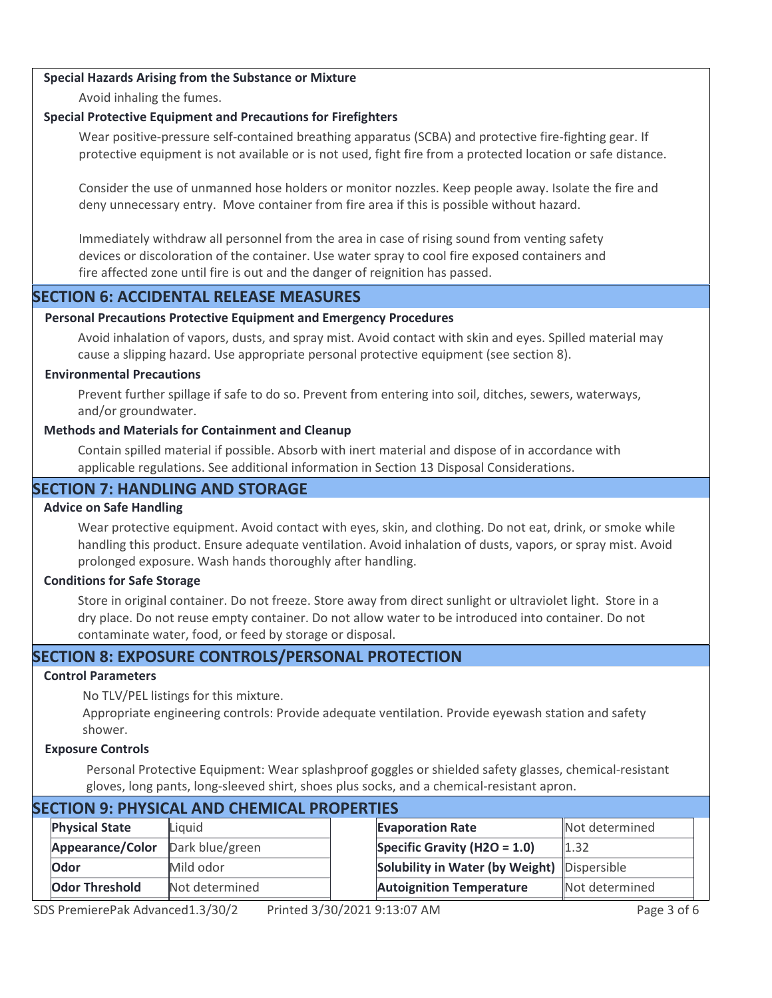## **Special Hazards Arising from the Substance or Mixture**

Avoid inhaling the fumes.

## **Special Protective Equipment and Precautions for Firefighters**

Wear positive-pressure self-contained breathing apparatus (SCBA) and protective fire-fighting gear. If protective equipment is not available or is not used, fight fire from a protected location or safe distance.

Consider the use of unmanned hose holders or monitor nozzles. Keep people away. Isolate the fire and deny unnecessary entry. Move container from fire area if this is possible without hazard.

Immediately withdraw all personnel from the area in case of rising sound from venting safety devices or discoloration of the container. Use water spray to cool fire exposed containers and fire affected zone until fire is out and the danger of reignition has passed.

# **SECTION 6: ACCIDENTAL RELEASE MEASURES**

## **Personal Precautions Protective Equipment and Emergency Procedures**

Avoid inhalation of vapors, dusts, and spray mist. Avoid contact with skin and eyes. Spilled material may cause a slipping hazard. Use appropriate personal protective equipment (see section 8).

## **Environmental Precautions**

Prevent further spillage if safe to do so. Prevent from entering into soil, ditches, sewers, waterways, and/or groundwater.

## **Methods and Materials for Containment and Cleanup**

Contain spilled material if possible. Absorb with inert material and dispose of in accordance with applicable regulations. See additional information in Section 13 Disposal Considerations.

# **SECTION 7: HANDLING AND STORAGE**

## **Advice on Safe Handling**

Wear protective equipment. Avoid contact with eyes, skin, and clothing. Do not eat, drink, or smoke while handling this product. Ensure adequate ventilation. Avoid inhalation of dusts, vapors, or spray mist. Avoid prolonged exposure. Wash hands thoroughly after handling.

# **Conditions for Safe Storage**

Store in original container. Do not freeze. Store away from direct sunlight or ultraviolet light. Store in a dry place. Do not reuse empty container. Do not allow water to be introduced into container. Do not contaminate water, food, or feed by storage or disposal.

# **SECTION 8: EXPOSURE CONTROLS/PERSONAL PROTECTION**

# **Control Parameters**

No TLV/PEL listings for this mixture.

Appropriate engineering controls: Provide adequate ventilation. Provide eyewash station and safety shower.

## **Exposure Controls**

Personal Protective Equipment: Wear splashproof goggles or shielded safety glasses, chemical-resistant gloves, long pants, long-sleeved shirt, shoes plus socks, and a chemical-resistant apron.

| SECTION 9: PHYSICAL AND CHEMICAL PROPERTIES |  |                                                          |  |                                                                                               |                                                                                         |  |
|---------------------------------------------|--|----------------------------------------------------------|--|-----------------------------------------------------------------------------------------------|-----------------------------------------------------------------------------------------|--|
| <b>Physical State</b>                       |  |                                                          |  |                                                                                               |                                                                                         |  |
| Appearance/Color                            |  |                                                          |  |                                                                                               |                                                                                         |  |
| <b>Odor</b>                                 |  |                                                          |  |                                                                                               |                                                                                         |  |
| <b>Odor Threshold</b>                       |  |                                                          |  |                                                                                               |                                                                                         |  |
|                                             |  | Liquid<br>Dark blue/green<br>Mild odor<br>Not determined |  | <b>Evaporation Rate</b><br>Specific Gravity (H2O = $1.0$ )<br><b>Autoignition Temperature</b> | Not determined<br>1.32<br>Solubility in Water (by Weight) Dispersible<br>Not determined |  |

# **SECTION 9: PHYSICAL AND CHEMICAL PROPERTIES**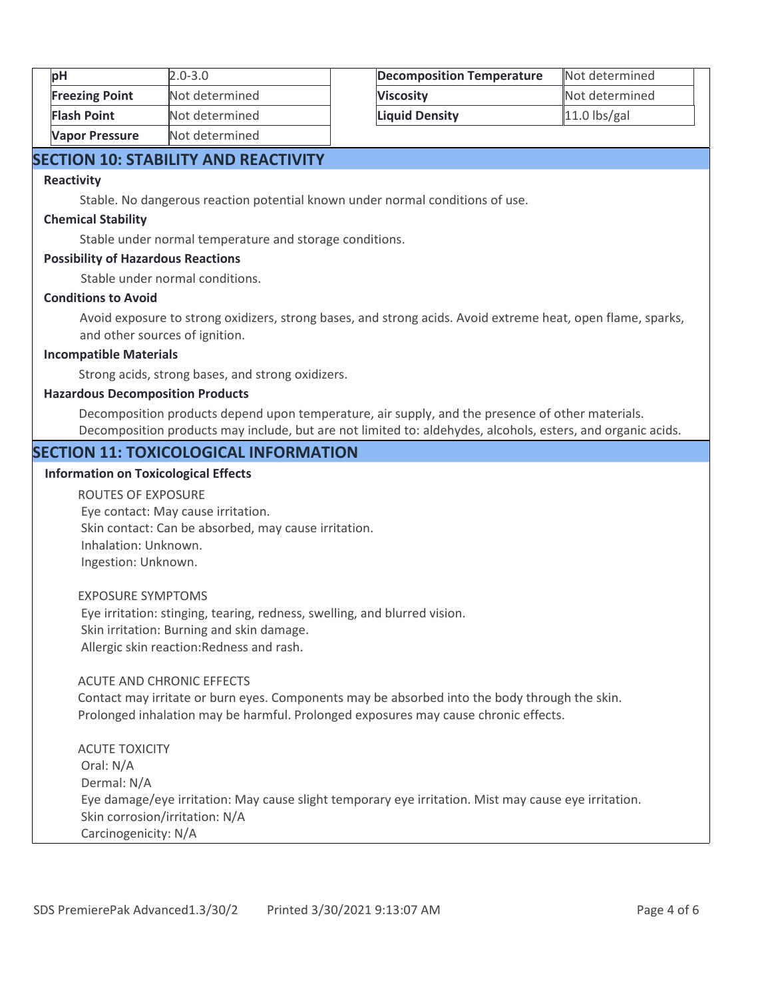| pH                    | $2.0 - 3.0$    |
|-----------------------|----------------|
| <b>Freezing Point</b> | Not determined |
| <b>Flash Point</b>    | Not determined |
| <b>Vapor Pressure</b> | Not determined |

| <b>Decomposition Temperature</b> | Not determined |
|----------------------------------|----------------|
| <b>Viscosity</b>                 | Not determined |
| <b>Liquid Density</b>            | $11.0$ lbs/gal |

# **SECTION 10: STABILITY AND REACTIVITY**

#### **Reactivity**

Stable. No dangerous reaction potential known under normal conditions of use.

#### **Chemical Stability**

Stable under normal temperature and storage conditions.

#### **Possibility of Hazardous Reactions**

Stable under normal conditions.

## **Conditions to Avoid**

Avoid exposure to strong oxidizers, strong bases, and strong acids. Avoid extreme heat, open flame, sparks, and other sources of ignition.

## **Incompatible Materials**

Strong acids, strong bases, and strong oxidizers.

#### **Hazardous Decomposition Products**

Decomposition products depend upon temperature, air supply, and the presence of other materials. Decomposition products may include, but are not limited to: aldehydes, alcohols, esters, and organic acids.

# **SECTION 11: TOXICOLOGICAL INFORMATION**

#### **Information on Toxicological Effects**

ROUTES OF EXPOSURE Eye contact: May cause irritation. Skin contact: Can be absorbed, may cause irritation. Inhalation: Unknown. Ingestion: Unknown.

EXPOSURE SYMPTOMS

 Eye irritation: stinging, tearing, redness, swelling, and blurred vision. Skin irritation: Burning and skin damage. Allergic skin reaction:Redness and rash.

#### ACUTE AND CHRONIC EFFECTS

Contact may irritate or burn eyes. Components may be absorbed into the body through the skin. Prolonged inhalation may be harmful. Prolonged exposures may cause chronic effects.

ACUTE TOXICITY Oral: N/A Dermal: N/A Eye damage/eye irritation: May cause slight temporary eye irritation. Mist may cause eye irritation. Skin corrosion/irritation: N/A Carcinogenicity: N/A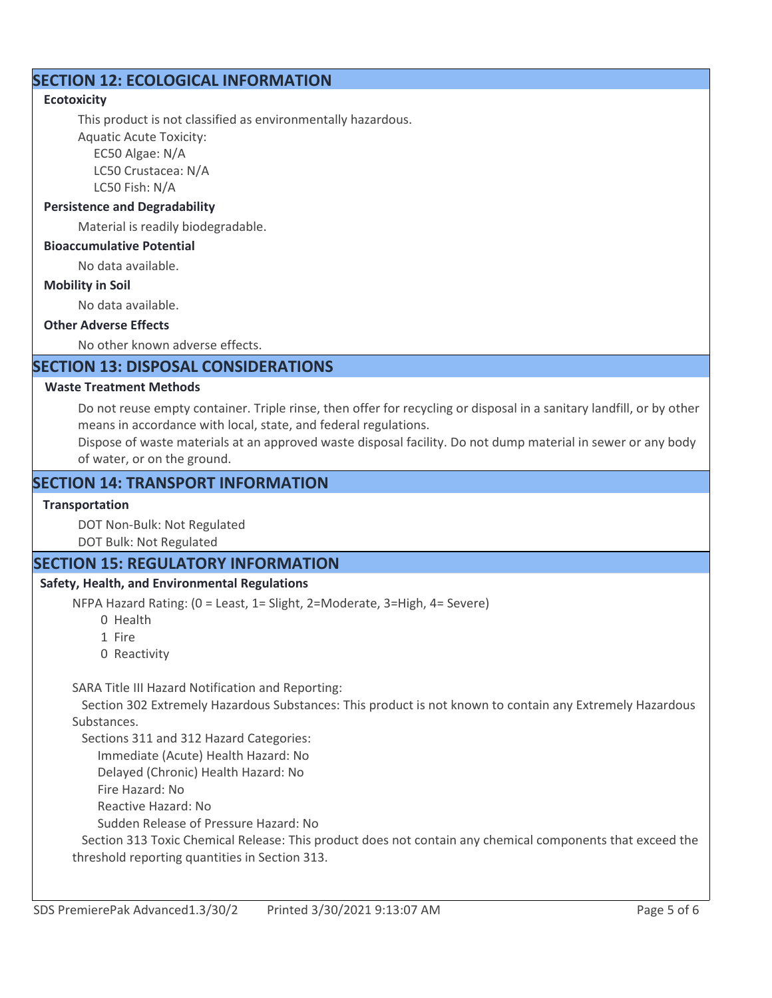# **SECTION 12: ECOLOGICAL INFORMATION**

# **Ecotoxicity**

This product is not classified as environmentally hazardous.

Aquatic Acute Toxicity: EC50 Algae: N/A

> LC50 Crustacea: N/A LC50 Fish: N/A

# **Persistence and Degradability**

Material is readily biodegradable.

# **Bioaccumulative Potential**

No data available.

## **Mobility in Soil**

No data available.

## **Other Adverse Effects**

No other known adverse effects.

# **SECTION 13: DISPOSAL CONSIDERATIONS**

## **Waste Treatment Methods**

Do not reuse empty container. Triple rinse, then offer for recycling or disposal in a sanitary landfill, or by other means in accordance with local, state, and federal regulations.

Dispose of waste materials at an approved waste disposal facility. Do not dump material in sewer or any body of water, or on the ground.

# **SECTION 14: TRANSPORT INFORMATION**

# **Transportation**

DOT Non-Bulk: Not Regulated

DOT Bulk: Not Regulated

# **SECTION 15: REGULATORY INFORMATION**

# **Safety, Health, and Environmental Regulations**

NFPA Hazard Rating: (0 = Least, 1= Slight, 2=Moderate, 3=High, 4= Severe)

0 Health

- 1 Fire
- 0 Reactivity

SARA Title III Hazard Notification and Reporting:

 Section 302 Extremely Hazardous Substances: This product is not known to contain any Extremely Hazardous Substances.

Sections 311 and 312 Hazard Categories:

Immediate (Acute) Health Hazard: No

Delayed (Chronic) Health Hazard: No

Fire Hazard: No

Reactive Hazard: No

Sudden Release of Pressure Hazard: No

 Section 313 Toxic Chemical Release: This product does not contain any chemical components that exceed the threshold reporting quantities in Section 313.